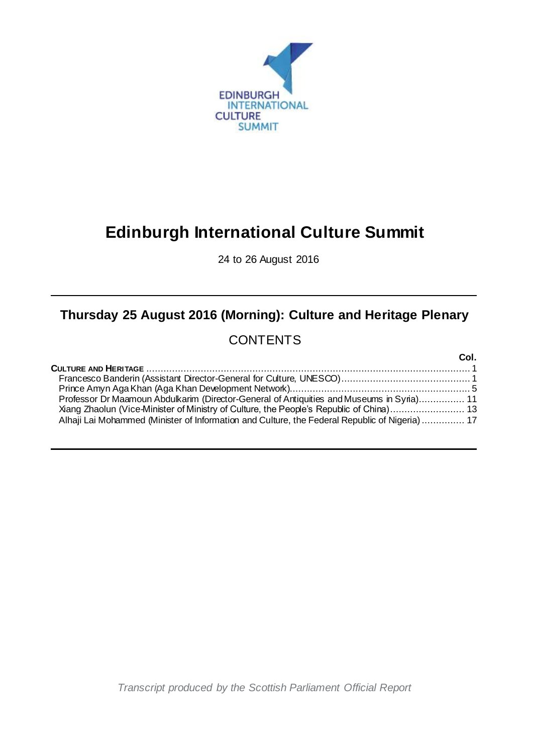

# **Edinburgh International Culture Summit**

24 to 26 August 2016

## **Thursday 25 August 2016 (Morning): Culture and Heritage Plenary**

## **CONTENTS**

|                                                                                                | Col. |
|------------------------------------------------------------------------------------------------|------|
|                                                                                                |      |
|                                                                                                |      |
|                                                                                                |      |
| Professor Dr Maamoun Abdulkarim (Director-General of Antiquities and Museums in Syria) 11      |      |
| Xiang Zhaolun (Vice-Minister of Ministry of Culture, the People's Republic of China) 13        |      |
| Alhaji Lai Mohammed (Minister of Information and Culture, the Federal Republic of Nigeria)  17 |      |

*Transcript produced by the Scottish Parliament Official Report*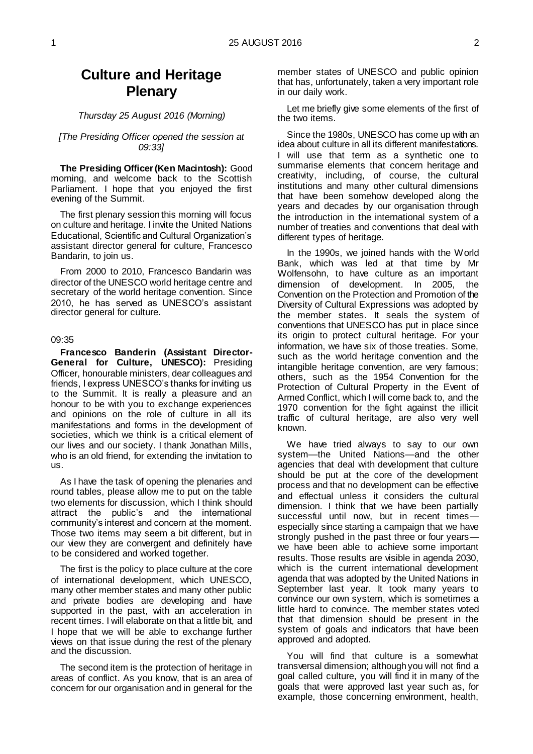### **Culture and Heritage Plenary**

#### *Thursday 25 August 2016 (Morning)*

#### *[The Presiding Officer opened the session at 09:33]*

**The Presiding Officer (Ken Macintosh):** Good morning, and welcome back to the Scottish Parliament. I hope that you enjoyed the first evening of the Summit.

The first plenary session this morning will focus on culture and heritage. I invite the United Nations Educational, Scientific and Cultural Organization's assistant director general for culture, Francesco Bandarin, to join us.

From 2000 to 2010, Francesco Bandarin was director of the UNESCO world heritage centre and secretary of the world heritage convention. Since 2010, he has served as UNESCO's assistant director general for culture.

#### 09:35

<span id="page-2-0"></span>**Francesco Banderin (Assistant Director-General for Culture, UNESCO):** Presiding Officer, honourable ministers, dear colleagues and friends, I express UNESCO's thanks for inviting us to the Summit. It is really a pleasure and an honour to be with you to exchange experiences and opinions on the role of culture in all its manifestations and forms in the development of societies, which we think is a critical element of our lives and our society. I thank Jonathan Mills, who is an old friend, for extending the invitation to us.

As I have the task of opening the plenaries and round tables, please allow me to put on the table two elements for discussion, which I think should attract the public's and the international community's interest and concern at the moment. Those two items may seem a bit different, but in our view they are convergent and definitely have to be considered and worked together.

The first is the policy to place culture at the core of international development, which UNESCO, many other member states and many other public and private bodies are developing and have supported in the past, with an acceleration in recent times. I will elaborate on that a little bit, and I hope that we will be able to exchange further views on that issue during the rest of the plenary and the discussion.

The second item is the protection of heritage in areas of conflict. As you know, that is an area of concern for our organisation and in general for the

member states of UNESCO and public opinion that has, unfortunately, taken a very important role in our daily work.

Let me briefly give some elements of the first of the two items.

Since the 1980s, UNESCO has come up with an idea about culture in all its different manifestations. I will use that term as a synthetic one to summarise elements that concern heritage and creativity, including, of course, the cultural institutions and many other cultural dimensions that have been somehow developed along the years and decades by our organisation through the introduction in the international system of a number of treaties and conventions that deal with different types of heritage.

In the 1990s, we joined hands with the World Bank, which was led at that time by Mr Wolfensohn, to have culture as an important dimension of development. In 2005, the Convention on the Protection and Promotion of the Diversity of Cultural Expressions was adopted by the member states. It seals the system of conventions that UNESCO has put in place since its origin to protect cultural heritage. For your information, we have six of those treaties. Some, such as the world heritage convention and the intangible heritage convention, are very famous; others, such as the 1954 Convention for the Protection of Cultural Property in the Event of Armed Conflict, which I will come back to, and the 1970 convention for the fight against the illicit traffic of cultural heritage, are also very well known.

We have tried always to say to our own system—the United Nations—and the other agencies that deal with development that culture should be put at the core of the development process and that no development can be effective and effectual unless it considers the cultural dimension. I think that we have been partially successful until now, but in recent times especially since starting a campaign that we have strongly pushed in the past three or four years we have been able to achieve some important results. Those results are visible in agenda 2030, which is the current international development agenda that was adopted by the United Nations in September last year. It took many years to convince our own system, which is sometimes a little hard to convince. The member states voted that that dimension should be present in the system of goals and indicators that have been approved and adopted.

You will find that culture is a somewhat transversal dimension; although you will not find a goal called culture, you will find it in many of the goals that were approved last year such as, for example, those concerning environment, health,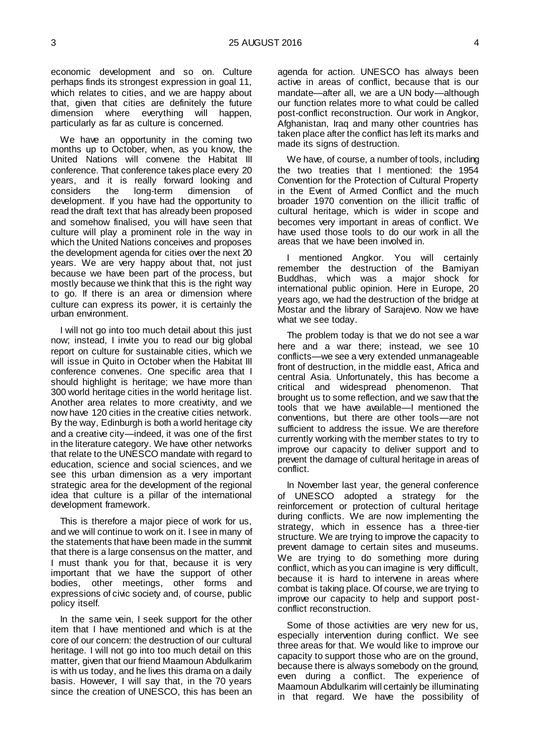economic development and so on. Culture perhaps finds its strongest expression in goal 11, which relates to cities, and we are happy about that, given that cities are definitely the future dimension where everything will happen, particularly as far as culture is concerned.

We have an opportunity in the coming two months up to October, when, as you know, the United Nations will convene the Habitat III conference. That conference takes place every 20 years, and it is really forward looking and considers the long-term dimension of development. If you have had the opportunity to read the draft text that has already been proposed and somehow finalised, you will have seen that culture will play a prominent role in the way in which the United Nations conceives and proposes the development agenda for cities over the next 20 years. We are very happy about that, not just because we have been part of the process, but mostly because we think that this is the right way to go. If there is an area or dimension where culture can express its power, it is certainly the urban environment.

I will not go into too much detail about this just now; instead, I invite you to read our big global report on culture for sustainable cities, which we will issue in Quito in October when the Habitat III conference convenes. One specific area that I should highlight is heritage; we have more than 300 world heritage cities in the world heritage list. Another area relates to more creativity, and we now have 120 cities in the creative cities network. By the way, Edinburgh is both a world heritage city and a creative city—indeed, it was one of the first in the literature category. We have other networks that relate to the UNESCO mandate with regard to education, science and social sciences, and we see this urban dimension as a very important strategic area for the development of the regional idea that culture is a pillar of the international development framework.

This is therefore a major piece of work for us, and we will continue to work on it. I see in many of the statements that have been made in the summit that there is a large consensus on the matter, and I must thank you for that, because it is very important that we have the support of other bodies, other meetings, other forms and expressions of civic society and, of course, public policy itself.

In the same vein, I seek support for the other item that I have mentioned and which is at the core of our concern: the destruction of our cultural heritage. I will not go into too much detail on this matter, given that our friend Maamoun Abdulkarim is with us today, and he lives this drama on a daily basis. However, I will say that, in the 70 years since the creation of UNESCO, this has been an

agenda for action. UNESCO has always been active in areas of conflict, because that is our mandate—after all, we are a UN body—although our function relates more to what could be called post-conflict reconstruction. Our work in Angkor, Afghanistan, Iraq and many other countries has taken place after the conflict has left its marks and made its signs of destruction.

We have, of course, a number of tools, including the two treaties that I mentioned: the 1954 Convention for the Protection of Cultural Property in the Event of Armed Conflict and the much broader 1970 convention on the illicit traffic of cultural heritage, which is wider in scope and becomes very important in areas of conflict. We have used those tools to do our work in all the areas that we have been involved in.

I mentioned Angkor. You will certainly remember the destruction of the Bamiyan Buddhas, which was a major shock for international public opinion. Here in Europe, 20 years ago, we had the destruction of the bridge at Mostar and the library of Sarajevo. Now we have what we see today.

The problem today is that we do not see a war here and a war there; instead, we see 10 conflicts—we see a very extended unmanageable front of destruction, in the middle east, Africa and central Asia. Unfortunately, this has become a critical and widespread phenomenon. That brought us to some reflection, and we saw that the tools that we have available—I mentioned the conventions, but there are other tools—are not sufficient to address the issue. We are therefore currently working with the member states to try to improve our capacity to deliver support and to prevent the damage of cultural heritage in areas of conflict.

In November last year, the general conference of UNESCO adopted a strategy for the reinforcement or protection of cultural heritage during conflicts. We are now implementing the strategy, which in essence has a three-tier structure. We are trying to improve the capacity to prevent damage to certain sites and museums. We are trying to do something more during conflict, which as you can imagine is very difficult, because it is hard to intervene in areas where combat is taking place. Of course, we are trying to improve our capacity to help and support postconflict reconstruction.

Some of those activities are very new for us, especially intervention during conflict. We see three areas for that. We would like to improve our capacity to support those who are on the ground, because there is always somebody on the ground, even during a conflict. The experience of Maamoun Abdulkarim will certainly be illuminating in that regard. We have the possibility of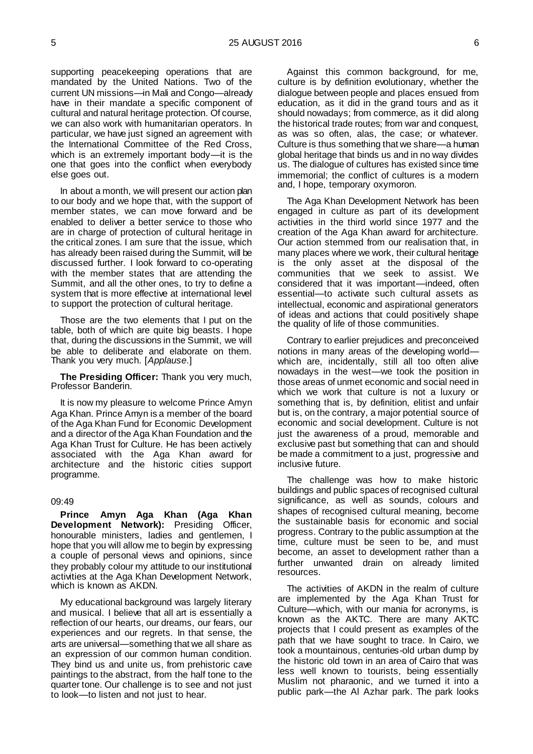supporting peacekeeping operations that are mandated by the United Nations. Two of the current UN missions—in Mali and Congo—already have in their mandate a specific component of cultural and natural heritage protection. Of course, we can also work with humanitarian operators. In particular, we have just signed an agreement with the International Committee of the Red Cross, which is an extremely important body—it is the one that goes into the conflict when everybody else goes out.

In about a month, we will present our action plan to our body and we hope that, with the support of member states, we can move forward and be enabled to deliver a better service to those who are in charge of protection of cultural heritage in the critical zones. I am sure that the issue, which has already been raised during the Summit, will be discussed further. I look forward to co-operating with the member states that are attending the Summit, and all the other ones, to try to define a system that is more effective at international level to support the protection of cultural heritage.

Those are the two elements that I put on the table, both of which are quite big beasts. I hope that, during the discussions in the Summit, we will be able to deliberate and elaborate on them. Thank you very much. [*Applause*.]

#### **The Presiding Officer:** Thank you very much, Professor Banderin.

It is now my pleasure to welcome Prince Amyn Aga Khan. Prince Amyn is a member of the board of the Aga Khan Fund for Economic Development and a director of the Aga Khan Foundation and the Aga Khan Trust for Culture. He has been actively associated with the Aga Khan award for architecture and the historic cities support programme.

#### 09:49

<span id="page-4-0"></span>**Prince Amyn Aga Khan (Aga Khan Development Network):** Presiding Officer, honourable ministers, ladies and gentlemen, I hope that you will allow me to begin by expressing a couple of personal views and opinions, since they probably colour my attitude to our institutional activities at the Aga Khan Development Network, which is known as AKDN.

My educational background was largely literary and musical. I believe that all art is essentially a reflection of our hearts, our dreams, our fears, our experiences and our regrets. In that sense, the arts are universal—something that we all share as an expression of our common human condition. They bind us and unite us, from prehistoric cave paintings to the abstract, from the half tone to the quarter tone. Our challenge is to see and not just to look—to listen and not just to hear.

Against this common background, for me, culture is by definition evolutionary, whether the dialogue between people and places ensued from education, as it did in the grand tours and as it should nowadays; from commerce, as it did along the historical trade routes; from war and conquest, as was so often, alas, the case; or whatever. Culture is thus something that we share—a human global heritage that binds us and in no way divides us. The dialogue of cultures has existed since time immemorial; the conflict of cultures is a modern and, I hope, temporary oxymoron.

The Aga Khan Development Network has been engaged in culture as part of its development activities in the third world since 1977 and the creation of the Aga Khan award for architecture. Our action stemmed from our realisation that, in many places where we work, their cultural heritage is the only asset at the disposal of the communities that we seek to assist. We considered that it was important—indeed, often essential—to activate such cultural assets as intellectual, economic and aspirational generators of ideas and actions that could positively shape the quality of life of those communities.

Contrary to earlier prejudices and preconceived notions in many areas of the developing world which are, incidentally, still all too often alive nowadays in the west—we took the position in those areas of unmet economic and social need in which we work that culture is not a luxury or something that is, by definition, elitist and unfair but is, on the contrary, a major potential source of economic and social development. Culture is not just the awareness of a proud, memorable and exclusive past but something that can and should be made a commitment to a just, progressive and inclusive future.

The challenge was how to make historic buildings and public spaces of recognised cultural significance, as well as sounds, colours and shapes of recognised cultural meaning, become the sustainable basis for economic and social progress. Contrary to the public assumption at the time, culture must be seen to be, and must become, an asset to development rather than a further unwanted drain on already limited resources.

The activities of AKDN in the realm of culture are implemented by the Aga Khan Trust for Culture—which, with our mania for acronyms, is known as the AKTC. There are many AKTC projects that I could present as examples of the path that we have sought to trace. In Cairo, we took a mountainous, centuries-old urban dump by the historic old town in an area of Cairo that was less well known to tourists, being essentially Muslim not pharaonic, and we turned it into a public park—the Al Azhar park. The park looks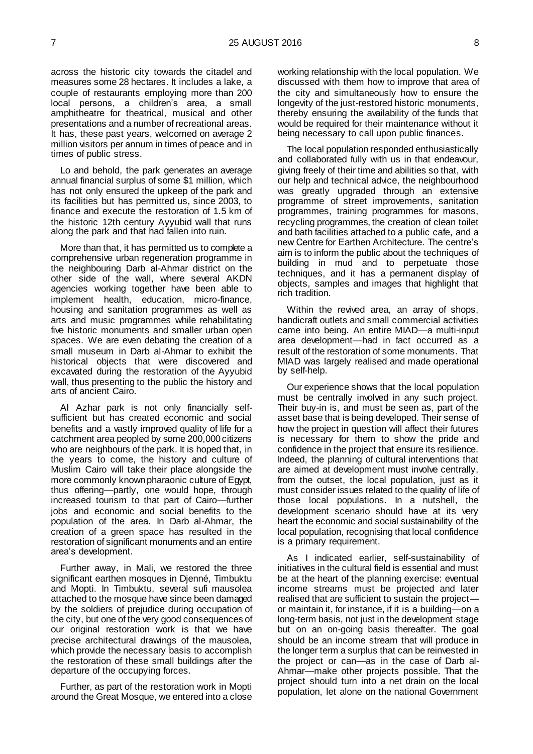across the historic city towards the citadel and measures some 28 hectares. It includes a lake, a couple of restaurants employing more than 200 local persons, a children's area, a small amphitheatre for theatrical, musical and other presentations and a number of recreational areas. It has, these past years, welcomed on average 2 million visitors per annum in times of peace and in times of public stress.

Lo and behold, the park generates an average annual financial surplus of some \$1 million, which has not only ensured the upkeep of the park and its facilities but has permitted us, since 2003, to finance and execute the restoration of 1.5 km of the historic 12th century Ayyubid wall that runs along the park and that had fallen into ruin.

More than that, it has permitted us to complete a comprehensive urban regeneration programme in the neighbouring Darb al-Ahmar district on the other side of the wall, where several AKDN agencies working together have been able to implement health, education, micro-finance, housing and sanitation programmes as well as arts and music programmes while rehabilitating five historic monuments and smaller urban open spaces. We are even debating the creation of a small museum in Darb al-Ahmar to exhibit the historical objects that were discovered and excavated during the restoration of the Ayyubid wall, thus presenting to the public the history and arts of ancient Cairo.

Al Azhar park is not only financially selfsufficient but has created economic and social benefits and a vastly improved quality of life for a catchment area peopled by some 200,000 citizens who are neighbours of the park. It is hoped that, in the years to come, the history and culture of Muslim Cairo will take their place alongside the more commonly known pharaonic culture of Egypt, thus offering—partly, one would hope, through increased tourism to that part of Cairo—further jobs and economic and social benefits to the population of the area. In Darb al-Ahmar, the creation of a green space has resulted in the restoration of significant monuments and an entire area's development.

Further away, in Mali, we restored the three significant earthen mosques in Djenné, Timbuktu and Mopti. In Timbuktu, several sufi mausolea attached to the mosque have since been damaged by the soldiers of prejudice during occupation of the city, but one of the very good consequences of our original restoration work is that we have precise architectural drawings of the mausolea, which provide the necessary basis to accomplish the restoration of these small buildings after the departure of the occupying forces.

Further, as part of the restoration work in Mopti around the Great Mosque, we entered into a close

working relationship with the local population. We discussed with them how to improve that area of the city and simultaneously how to ensure the longevity of the just-restored historic monuments, thereby ensuring the availability of the funds that would be required for their maintenance without it being necessary to call upon public finances.

The local population responded enthusiastically and collaborated fully with us in that endeavour, giving freely of their time and abilities so that, with our help and technical advice, the neighbourhood was greatly upgraded through an extensive programme of street improvements, sanitation programmes, training programmes for masons, recycling programmes, the creation of clean toilet and bath facilities attached to a public cafe, and a new Centre for Earthen Architecture. The centre's aim is to inform the public about the techniques of building in mud and to perpetuate those techniques, and it has a permanent display of objects, samples and images that highlight that rich tradition.

Within the revived area, an array of shops, handicraft outlets and small commercial activities came into being. An entire MIAD—a multi-input area development—had in fact occurred as a result of the restoration of some monuments. That MIAD was largely realised and made operational by self-help.

Our experience shows that the local population must be centrally involved in any such project. Their buy-in is, and must be seen as, part of the asset base that is being developed. Their sense of how the project in question will affect their futures is necessary for them to show the pride and confidence in the project that ensure its resilience. Indeed, the planning of cultural interventions that are aimed at development must involve centrally, from the outset, the local population, just as it must consider issues related to the quality of life of those local populations. In a nutshell, the development scenario should have at its very heart the economic and social sustainability of the local population, recognising that local confidence is a primary requirement.

As I indicated earlier, self-sustainability of initiatives in the cultural field is essential and must be at the heart of the planning exercise: eventual income streams must be projected and later realised that are sufficient to sustain the project or maintain it, for instance, if it is a building—on a long-term basis, not just in the development stage but on an on-going basis thereafter. The goal should be an income stream that will produce in the longer term a surplus that can be reinvested in the project or can—as in the case of Darb al-Ahmar—make other projects possible. That the project should turn into a net drain on the local population, let alone on the national Government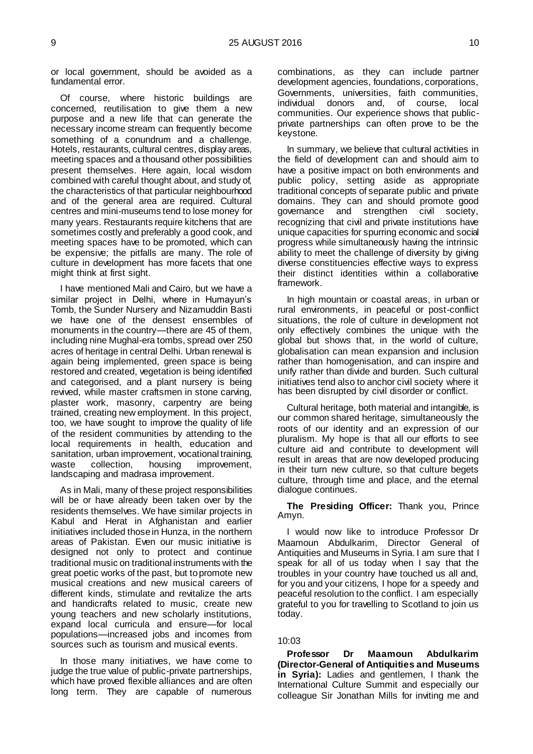or local government, should be avoided as a fundamental error.

Of course, where historic buildings are concerned, reutilisation to give them a new purpose and a new life that can generate the necessary income stream can frequently become something of a conundrum and a challenge. Hotels, restaurants, cultural centres, display areas, meeting spaces and a thousand other possibilities present themselves. Here again, local wisdom combined with careful thought about, and study of, the characteristics of that particular neighbourhood and of the general area are required. Cultural centres and mini-museums tend to lose money for many years. Restaurants require kitchens that are sometimes costly and preferably a good cook, and meeting spaces have to be promoted, which can be expensive; the pitfalls are many. The role of culture in development has more facets that one might think at first sight.

I have mentioned Mali and Cairo, but we have a similar project in Delhi, where in Humayun's Tomb, the Sunder Nursery and Nizamuddin Basti we have one of the densest ensembles of monuments in the country—there are 45 of them, including nine Mughal-era tombs, spread over 250 acres of heritage in central Delhi. Urban renewal is again being implemented, green space is being restored and created, vegetation is being identified and categorised, and a plant nursery is being revived, while master craftsmen in stone carving, plaster work, masonry, carpentry are being trained, creating new employment. In this project, too, we have sought to improve the quality of life of the resident communities by attending to the local requirements in health, education and sanitation, urban improvement, vocational training, waste collection, housing improvement, landscaping and madrasa improvement.

As in Mali, many of these project responsibilities will be or have already been taken over by the residents themselves. We have similar projects in Kabul and Herat in Afghanistan and earlier initiatives included those in Hunza, in the northern areas of Pakistan. Even our music initiative is designed not only to protect and continue traditional music on traditional instruments with the great poetic works of the past, but to promote new musical creations and new musical careers of different kinds, stimulate and revitalize the arts and handicrafts related to music, create new young teachers and new scholarly institutions, expand local curricula and ensure—for local populations—increased jobs and incomes from sources such as tourism and musical events.

In those many initiatives, we have come to judge the true value of public-private partnerships, which have proved flexible alliances and are often long term. They are capable of numerous

combinations, as they can include partner development agencies, foundations, corporations, Governments, universities, faith communities,<br>individual donors and, of course, local and, of course, local communities. Our experience shows that publicprivate partnerships can often prove to be the keystone.

In summary, we believe that cultural activities in the field of development can and should aim to have a positive impact on both environments and public policy, setting aside as appropriate traditional concepts of separate public and private domains. They can and should promote good governance and strengthen civil society, recognizing that civil and private institutions have unique capacities for spurring economic and social progress while simultaneously having the intrinsic ability to meet the challenge of diversity by giving diverse constituencies effective ways to express their distinct identities within a collaborative framework.

In high mountain or coastal areas, in urban or rural environments, in peaceful or post-conflict situations, the role of culture in development not only effectively combines the unique with the global but shows that, in the world of culture, globalisation can mean expansion and inclusion rather than homogenisation, and can inspire and unify rather than divide and burden. Such cultural initiatives tend also to anchor civil society where it has been disrupted by civil disorder or conflict.

Cultural heritage, both material and intangible, is our common shared heritage, simultaneously the roots of our identity and an expression of our pluralism. My hope is that all our efforts to see culture aid and contribute to development will result in areas that are now developed producing in their turn new culture, so that culture begets culture, through time and place, and the eternal dialogue continues.

**The Presiding Officer:** Thank you, Prince Amyn.

I would now like to introduce Professor Dr Maamoun Abdulkarim, Director General of Antiquities and Museums in Syria. I am sure that I speak for all of us today when I say that the troubles in your country have touched us all and, for you and your citizens, I hope for a speedy and peaceful resolution to the conflict. I am especially grateful to you for travelling to Scotland to join us today.

#### 10:03

<span id="page-6-0"></span>**Professor Dr Maamoun Abdulkarim (Director-General of Antiquities and Museums in Syria):** Ladies and gentlemen, I thank the International Culture Summit and especially our colleague Sir Jonathan Mills for inviting me and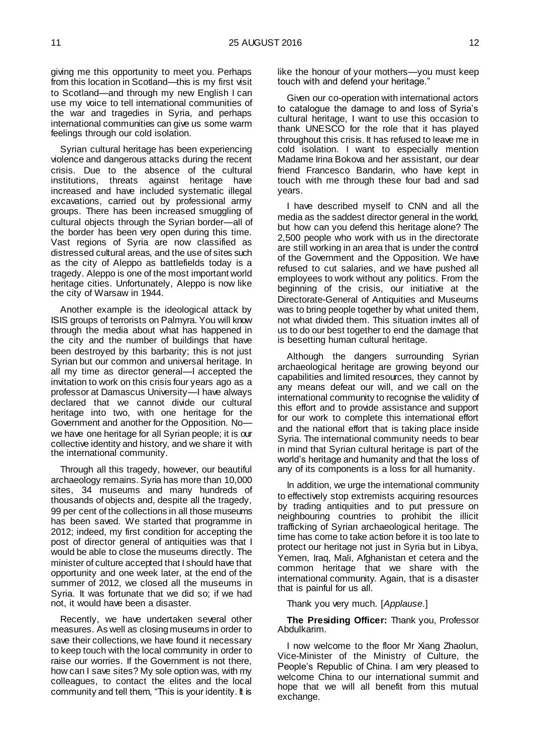giving me this opportunity to meet you. Perhaps from this location in Scotland—this is my first visit to Scotland—and through my new English I can use my voice to tell international communities of the war and tragedies in Syria, and perhaps international communities can give us some warm feelings through our cold isolation.

Syrian cultural heritage has been experiencing violence and dangerous attacks during the recent crisis. Due to the absence of the cultural institutions, threats against heritage have increased and have included systematic illegal excavations, carried out by professional army groups. There has been increased smuggling of cultural objects through the Syrian border—all of the border has been very open during this time. Vast regions of Syria are now classified as distressed cultural areas, and the use of sites such as the city of Aleppo as battlefields today is a tragedy. Aleppo is one of the most important world heritage cities. Unfortunately, Aleppo is now like the city of Warsaw in 1944.

Another example is the ideological attack by ISIS groups of terrorists on Palmyra. You will know through the media about what has happened in the city and the number of buildings that have been destroyed by this barbarity; this is not just Syrian but our common and universal heritage. In all my time as director general—I accepted the invitation to work on this crisis four years ago as a professor at Damascus University—I have always declared that we cannot divide our cultural heritage into two, with one heritage for the Government and another for the Opposition. No we have one heritage for all Syrian people; it is our collective identity and history, and we share it with the international community.

Through all this tragedy, however, our beautiful archaeology remains. Syria has more than 10,000 sites, 34 museums and many hundreds of thousands of objects and, despite all the tragedy, 99 per cent of the collections in all those museums has been saved. We started that programme in 2012; indeed, my first condition for accepting the post of director general of antiquities was that I would be able to close the museums directly. The minister of culture accepted that I should have that opportunity and one week later, at the end of the summer of 2012, we closed all the museums in Syria. It was fortunate that we did so; if we had not, it would have been a disaster.

Recently, we have undertaken several other measures. As well as closing museums in order to save their collections, we have found it necessary to keep touch with the local community in order to raise our worries. If the Government is not there, how can I save sites? My sole option was, with my colleagues, to contact the elites and the local community and tell them, "This is your identity. It is

like the honour of your mothers—you must keep touch with and defend your heritage."

Given our co-operation with international actors to catalogue the damage to and loss of Syria's cultural heritage, I want to use this occasion to thank UNESCO for the role that it has played throughout this crisis. It has refused to leave me in cold isolation. I want to especially mention Madame Irina Bokova and her assistant, our dear friend Francesco Bandarin, who have kept in touch with me through these four bad and sad years.

I have described myself to CNN and all the media as the saddest director general in the world, but how can you defend this heritage alone? The 2,500 people who work with us in the directorate are still working in an area that is under the control of the Government and the Opposition. We have refused to cut salaries, and we have pushed all employees to work without any politics. From the beginning of the crisis, our initiative at the Directorate-General of Antiquities and Museums was to bring people together by what united them, not what divided them. This situation invites all of us to do our best together to end the damage that is besetting human cultural heritage.

Although the dangers surrounding Syrian archaeological heritage are growing beyond our capabilities and limited resources, they cannot by any means defeat our will, and we call on the international community to recognise the validity of this effort and to provide assistance and support for our work to complete this international effort and the national effort that is taking place inside Syria. The international community needs to bear in mind that Syrian cultural heritage is part of the world's heritage and humanity and that the loss of any of its components is a loss for all humanity.

In addition, we urge the international community to effectively stop extremists acquiring resources by trading antiquities and to put pressure on neighbouring countries to prohibit the illicit trafficking of Syrian archaeological heritage. The time has come to take action before it is too late to protect our heritage not just in Syria but in Libya, Yemen, Iraq, Mali, Afghanistan et cetera and the common heritage that we share with the international community. Again, that is a disaster that is painful for us all.

Thank you very much. [*Applause*.]

**The Presiding Officer:** Thank you, Professor Abdulkarim.

I now welcome to the floor Mr Xiang Zhaolun, Vice-Minister of the Ministry of Culture, the People's Republic of China. I am very pleased to welcome China to our international summit and hope that we will all benefit from this mutual exchange.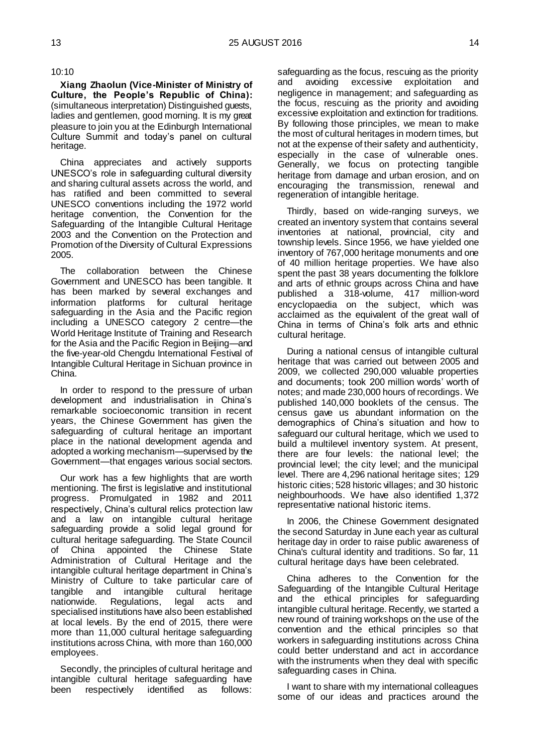#### 10:10

<span id="page-8-0"></span>**Xiang Zhaolun (Vice-Minister of Ministry of Culture, the People's Republic of China):**  (simultaneous interpretation) Distinguished guests, ladies and gentlemen, good morning. It is my great pleasure to join you at the Edinburgh International Culture Summit and today's panel on cultural heritage.

China appreciates and actively supports UNESCO's role in safeguarding cultural diversity and sharing cultural assets across the world, and has ratified and been committed to several UNESCO conventions including the 1972 world heritage convention, the Convention for the Safeguarding of the Intangible Cultural Heritage 2003 and the Convention on the Protection and Promotion of the Diversity of Cultural Expressions 2005.

The collaboration between the Chinese Government and UNESCO has been tangible. It has been marked by several exchanges and information platforms for cultural heritage safeguarding in the Asia and the Pacific region including a UNESCO category 2 centre—the World Heritage Institute of Training and Research for the Asia and the Pacific Region in Beijing—and the five-year-old Chengdu International Festival of Intangible Cultural Heritage in Sichuan province in China.

In order to respond to the pressure of urban development and industrialisation in China's remarkable socioeconomic transition in recent years, the Chinese Government has given the safeguarding of cultural heritage an important place in the national development agenda and adopted a working mechanism—supervised by the Government—that engages various social sectors.

Our work has a few highlights that are worth mentioning. The first is legislative and institutional progress. Promulgated in 1982 and 2011 respectively, China's cultural relics protection law and a law on intangible cultural heritage safeguarding provide a solid legal ground for cultural heritage safeguarding. The State Council of China appointed the Chinese State Administration of Cultural Heritage and the intangible cultural heritage department in China's Ministry of Culture to take particular care of tangible and intangible cultural heritage nationwide. Regulations, legal acts and specialised institutions have also been established at local levels. By the end of 2015, there were more than 11,000 cultural heritage safeguarding institutions across China, with more than 160,000 employees.

Secondly, the principles of cultural heritage and intangible cultural heritage safeguarding have been respectively identified as follows:

safeguarding as the focus, rescuing as the priority and avoiding excessive exploitation and negligence in management; and safeguarding as the focus, rescuing as the priority and avoiding excessive exploitation and extinction for traditions. By following those principles, we mean to make the most of cultural heritages in modern times, but not at the expense of their safety and authenticity, especially in the case of vulnerable ones. Generally, we focus on protecting tangible heritage from damage and urban erosion, and on encouraging the transmission, renewal and regeneration of intangible heritage.

Thirdly, based on wide-ranging surveys, we created an inventory system that contains several inventories at national, provincial, city and township levels. Since 1956, we have yielded one inventory of 767,000 heritage monuments and one of 40 million heritage properties. We have also spent the past 38 years documenting the folklore and arts of ethnic groups across China and have published a 318-volume, 417 million-word encyclopaedia on the subject, which was acclaimed as the equivalent of the great wall of China in terms of China's folk arts and ethnic cultural heritage.

During a national census of intangible cultural heritage that was carried out between 2005 and 2009, we collected 290,000 valuable properties and documents; took 200 million words' worth of notes; and made 230,000 hours of recordings. We published 140,000 booklets of the census. The census gave us abundant information on the demographics of China's situation and how to safeguard our cultural heritage, which we used to build a multilevel inventory system. At present, there are four levels: the national level; the provincial level; the city level; and the municipal level. There are 4,296 national heritage sites; 129 historic cities; 528 historic villages; and 30 historic neighbourhoods. We have also identified 1,372 representative national historic items.

In 2006, the Chinese Government designated the second Saturday in June each year as cultural heritage day in order to raise public awareness of China's cultural identity and traditions. So far, 11 cultural heritage days have been celebrated.

China adheres to the Convention for the Safeguarding of the Intangible Cultural Heritage and the ethical principles for safeguarding intangible cultural heritage. Recently, we started a new round of training workshops on the use of the convention and the ethical principles so that workers in safeguarding institutions across China could better understand and act in accordance with the instruments when they deal with specific safeguarding cases in China.

I want to share with my international colleagues some of our ideas and practices around the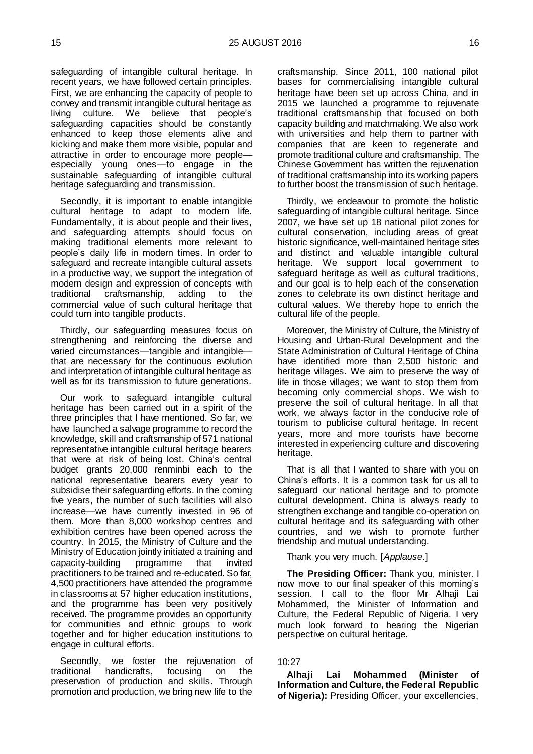safeguarding of intangible cultural heritage. In recent years, we have followed certain principles. First, we are enhancing the capacity of people to convey and transmit intangible cultural heritage as living culture. We believe that people's safeguarding capacities should be constantly enhanced to keep those elements alive and kicking and make them more visible, popular and attractive in order to encourage more people especially young ones—to engage in the sustainable safeguarding of intangible cultural heritage safeguarding and transmission.

Secondly, it is important to enable intangible cultural heritage to adapt to modern life. Fundamentally, it is about people and their lives, and safeguarding attempts should focus on making traditional elements more relevant to people's daily life in modern times. In order to safeguard and recreate intangible cultural assets in a productive way, we support the integration of modern design and expression of concepts with traditional craftsmanship, adding to the commercial value of such cultural heritage that could turn into tangible products.

Thirdly, our safeguarding measures focus on strengthening and reinforcing the diverse and varied circumstances—tangible and intangible that are necessary for the continuous evolution and interpretation of intangible cultural heritage as well as for its transmission to future generations.

Our work to safeguard intangible cultural heritage has been carried out in a spirit of the three principles that I have mentioned. So far, we have launched a salvage programme to record the knowledge, skill and craftsmanship of 571 national representative intangible cultural heritage bearers that were at risk of being lost. China's central budget grants 20,000 renminbi each to the national representative bearers every year to subsidise their safeguarding efforts. In the coming five years, the number of such facilities will also increase—we have currently invested in 96 of them. More than 8,000 workshop centres and exhibition centres have been opened across the country. In 2015, the Ministry of Culture and the Ministry of Education jointly initiated a training and capacity-building programme that invited practitioners to be trained and re-educated. So far, 4,500 practitioners have attended the programme in classrooms at 57 higher education institutions, and the programme has been very positively received. The programme provides an opportunity for communities and ethnic groups to work together and for higher education institutions to engage in cultural efforts.

Secondly, we foster the rejuvenation of traditional handicrafts, focusing on the preservation of production and skills. Through promotion and production, we bring new life to the

craftsmanship. Since 2011, 100 national pilot bases for commercialising intangible cultural heritage have been set up across China, and in 2015 we launched a programme to rejuvenate traditional craftsmanship that focused on both capacity building and matchmaking. We also work with universities and help them to partner with companies that are keen to regenerate and promote traditional culture and craftsmanship. The Chinese Government has written the rejuvenation of traditional craftsmanship into its working papers to further boost the transmission of such heritage.

Thirdly, we endeavour to promote the holistic safeguarding of intangible cultural heritage. Since 2007, we have set up 18 national pilot zones for cultural conservation, including areas of great historic significance, well-maintained heritage sites and distinct and valuable intangible cultural heritage. We support local government to safeguard heritage as well as cultural traditions, and our goal is to help each of the conservation zones to celebrate its own distinct heritage and cultural values. We thereby hope to enrich the cultural life of the people.

Moreover, the Ministry of Culture, the Ministry of Housing and Urban-Rural Development and the State Administration of Cultural Heritage of China have identified more than 2,500 historic and heritage villages. We aim to preserve the way of life in those villages; we want to stop them from becoming only commercial shops. We wish to preserve the soil of cultural heritage. In all that work, we always factor in the conducive role of tourism to publicise cultural heritage. In recent years, more and more tourists have become interested in experiencing culture and discovering heritage.

That is all that I wanted to share with you on China's efforts. It is a common task for us all to safeguard our national heritage and to promote cultural development. China is always ready to strengthen exchange and tangible co-operation on cultural heritage and its safeguarding with other countries, and we wish to promote further friendship and mutual understanding.

Thank you very much. [*Applause*.]

**The Presiding Officer:** Thank you, minister. I now move to our final speaker of this morning's session. I call to the floor Mr Alhaji Lai Mohammed, the Minister of Information and Culture, the Federal Republic of Nigeria. I very much look forward to hearing the Nigerian perspective on cultural heritage.

#### 10:27

<span id="page-9-0"></span>**Alhaji Lai Mohammed (Minister of Information and Culture, the Federal Republic of Nigeria):** Presiding Officer, your excellencies,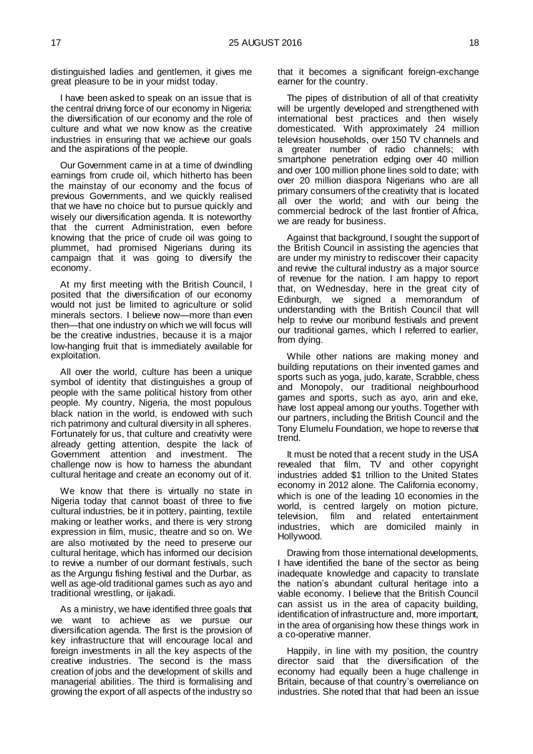distinguished ladies and gentlemen, it gives me great pleasure to be in your midst today.

I have been asked to speak on an issue that is the central driving force of our economy in Nigeria: the diversification of our economy and the role of culture and what we now know as the creative industries in ensuring that we achieve our goals and the aspirations of the people.

Our Government came in at a time of dwindling earnings from crude oil, which hitherto has been the mainstay of our economy and the focus of previous Governments, and we quickly realised that we have no choice but to pursue quickly and wisely our diversification agenda. It is noteworthy that the current Administration, even before knowing that the price of crude oil was going to plummet, had promised Nigerians during its campaign that it was going to diversify the economy.

At my first meeting with the British Council, I posited that the diversification of our economy would not just be limited to agriculture or solid minerals sectors. I believe now—more than even then—that one industry on which we will focus will be the creative industries, because it is a major low-hanging fruit that is immediately available for exploitation.

All over the world, culture has been a unique symbol of identity that distinguishes a group of people with the same political history from other people. My country, Nigeria, the most populous black nation in the world, is endowed with such rich patrimony and cultural diversity in all spheres. Fortunately for us, that culture and creativity were already getting attention, despite the lack of Government attention and investment. The challenge now is how to harness the abundant cultural heritage and create an economy out of it.

We know that there is virtually no state in Nigeria today that cannot boast of three to five cultural industries, be it in pottery, painting, textile making or leather works, and there is very strong expression in film, music, theatre and so on. We are also motivated by the need to preserve our cultural heritage, which has informed our decision to revive a number of our dormant festivals, such as the Argungu fishing festival and the Durbar, as well as age-old traditional games such as ayo and traditional wrestling, or ijakadi.

As a ministry, we have identified three goals that we want to achieve as we pursue our diversification agenda. The first is the provision of key infrastructure that will encourage local and foreign investments in all the key aspects of the creative industries. The second is the mass creation of jobs and the development of skills and managerial abilities. The third is formalising and growing the export of all aspects of the industry so

that it becomes a significant foreign-exchange earner for the country.

The pipes of distribution of all of that creativity will be urgently developed and strengthened with international best practices and then wisely domesticated. With approximately 24 million television households, over 150 TV channels and a greater number of radio channels; with smartphone penetration edging over 40 million and over 100 million phone lines sold to date; with over 20 million diaspora Nigerians who are all primary consumers of the creativity that is located all over the world; and with our being the commercial bedrock of the last frontier of Africa, we are ready for business.

Against that background, I sought the support of the British Council in assisting the agencies that are under my ministry to rediscover their capacity and revive the cultural industry as a major source of revenue for the nation. I am happy to report that, on Wednesday, here in the great city of Edinburgh, we signed a memorandum of understanding with the British Council that will help to revive our moribund festivals and prevent our traditional games, which I referred to earlier, from dying.

While other nations are making money and building reputations on their invented games and sports such as yoga, judo, karate, Scrabble, chess and Monopoly, our traditional neighbourhood games and sports, such as ayo, arin and eke, have lost appeal among our youths. Together with our partners, including the British Council and the Tony Elumelu Foundation, we hope to reverse that trend.

It must be noted that a recent study in the USA revealed that film, TV and other copyright industries added \$1 trillion to the United States economy in 2012 alone. The California economy, which is one of the leading 10 economies in the world, is centred largely on motion picture, television, film and related entertainment industries, which are domiciled mainly in Hollywood.

Drawing from those international developments, I have identified the bane of the sector as being inadequate knowledge and capacity to translate the nation's abundant cultural heritage into a viable economy. I believe that the British Council can assist us in the area of capacity building, identification of infrastructure and, more important, in the area of organising how these things work in a co-operative manner.

Happily, in line with my position, the country director said that the diversification of the economy had equally been a huge challenge in Britain, because of that country's overreliance on industries. She noted that that had been an issue